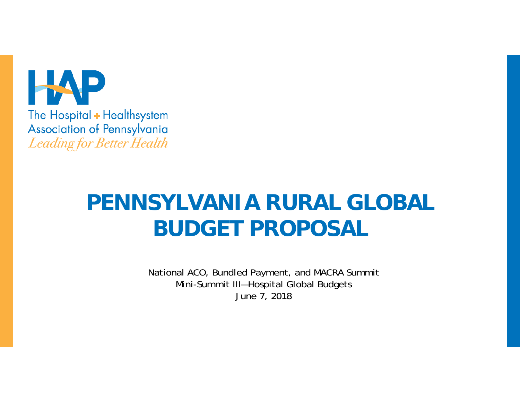

# **PENNSYLVANIA RURAL GLOBAL BUDGET PROPOSAL**

National ACO, Bundled Payment, and MACRA Summit Mini-Summit III—Hospital Global Budgets June 7, 2018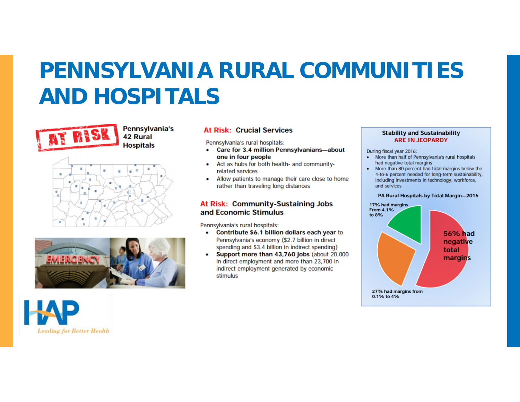### **PENNSYLVANIA RURAL COMMUNITIES AND HOSPITALS**



Pennsylvania's **42 Rural Hospitals** 





#### **At Risk: Crucial Services**

Pennsylvania's rural hospitals:

- Care for 3.4 million Pennsylvanians-about ٠ one in four people
- Act as hubs for both health- and community-٠ related services
- Allow patients to manage their care close to home ٠ rather than traveling long distances

#### At Risk: Community-Sustaining Jobs and Economic Stimulus

Pennsylvania's rural hospitals:

- Contribute \$6.1 billion dollars each year to Pennsylvania's economy (\$2.7 billion in direct spending and \$3.4 billion in indirect spending)
- Support more than 43,760 jobs (about 20,000 in direct employment and more than 23,700 in indirect employment generated by economic stimulus

#### **Stability and Sustainability ARE IN JEOPARDY**

During fiscal year 2016:

- More than half of Pennsylvania's rural hospitals had negative total margins
- More than 80 percent had total margins below the 4-to-6 percent needed for long-term sustainability. including investments in technology, workforce, and services

#### PA Rural Hospitals by Total Margin-2016



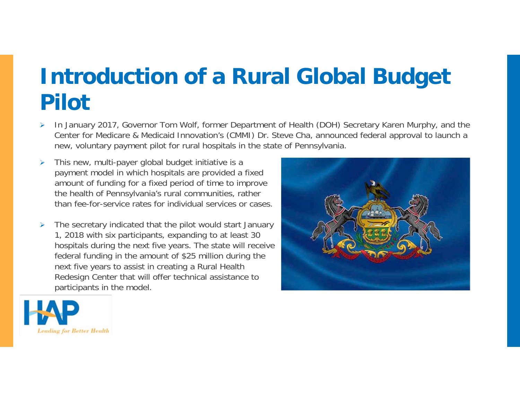### **Introduction of a Rural Global Budget Pilot**

- $\blacktriangleright$  In January 2017, Governor Tom Wolf, former Department of Health (DOH) Secretary Karen Murphy, and the Center for Medicare & Medicaid Innovation's (CMMI) Dr. Steve Cha, announced federal approval to launch a new, voluntary payment pilot for rural hospitals in the state of Pennsylvania.
- $\blacktriangleright$  This new, multi-payer global budget initiative is a payment model in which hospitals are provided a fixed amount of funding for a fixed period of time to improve the health of Pennsylvania's rural communities, rather than fee-for-service rates for individual services or cases.
- ¾ The secretary indicated that the pilot would start January 1, 2018 with six participants, expanding to at least 30 hospitals during the next five years. The state will receive federal funding in the amount of \$25 million during the next five years to assist in creating a Rural Health Redesign Center that will offer technical assistance to participants in the model.



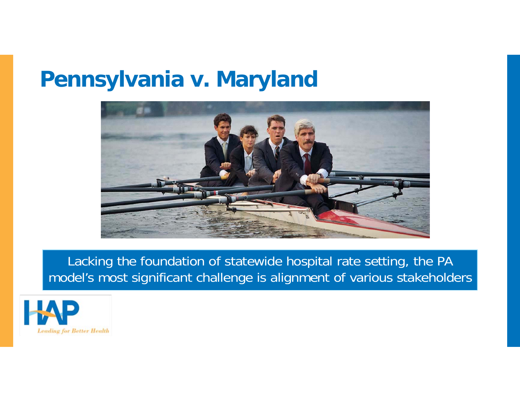#### **Pennsylvania v. Maryland**



Lacking the foundation of statewide hospital rate setting, the PA model's most significant challenge is alignment of various stakeholders

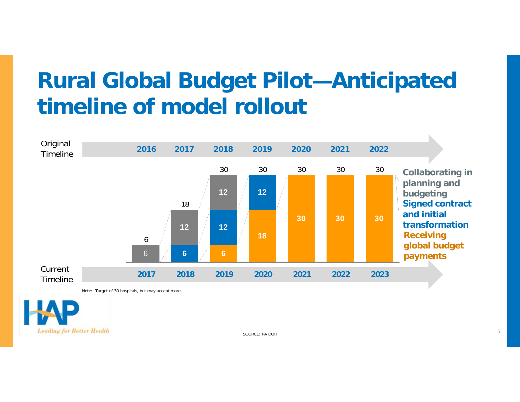## **Rural Global Budget Pilot—Anticipated timeline of model rollout**



Note: Target of 30 hospitals, but may accept more.

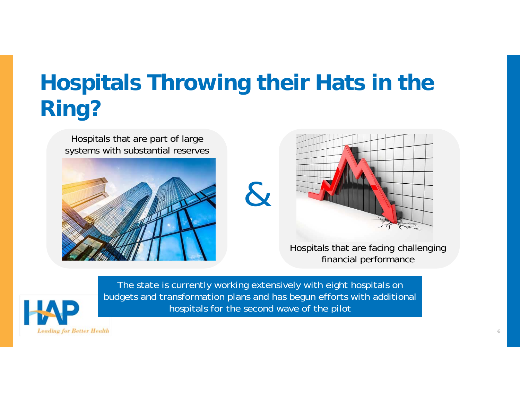# **Hospitals Throwing their Hats in the Ring?**





Hospitals that are facing challenging financial performance



The state is currently working extensively with eight hospitals on budgets and transformation plans and has begun efforts with additional hospitals for the second wave of the pilot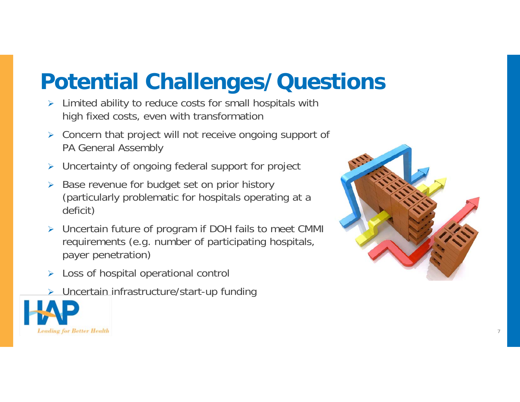# **Potential Challenges/Questions**

- ¾ Limited ability to reduce costs for small hospitals with high fixed costs, even with transformation
- ¾ Concern that project will not receive ongoing support of PA General Assembly
- ¾ Uncertainty of ongoing federal support for project
- $\blacktriangleright$  Base revenue for budget set on prior history (particularly problematic for hospitals operating at a deficit)
- ¾ Uncertain future of program if DOH fails to meet CMMI requirements (e.g. number of participating hospitals, payer penetration)
- $\blacktriangleright$ Loss of hospital operational control
- ¾ Uncertain infrastructure/start-up funding